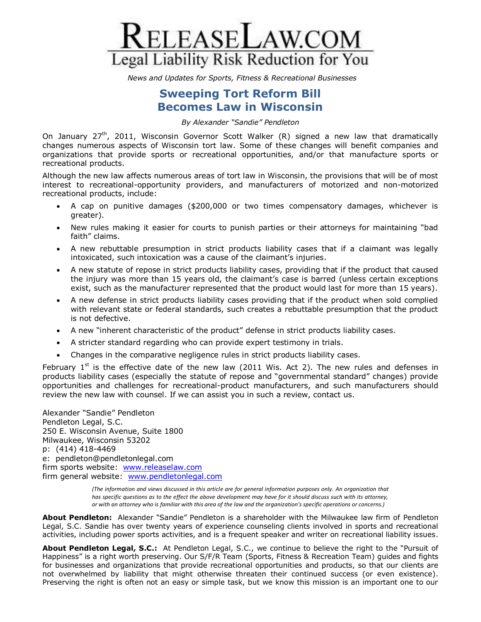

*News and Updates for Sports, Fitness & Recreational Businesses*

## **Sweeping Tort Reform Bill Becomes Law in Wisconsin**

*By Alexander "Sandie" Pendleton*

On January  $27<sup>th</sup>$ , 2011, Wisconsin Governor Scott Walker (R) signed a new law that dramatically changes numerous aspects of Wisconsin tort law. Some of these changes will benefit companies and organizations that provide sports or recreational opportunities, and/or that manufacture sports or recreational products.

Although the new law affects numerous areas of tort law in Wisconsin, the provisions that will be of most interest to recreational-opportunity providers, and manufacturers of motorized and non-motorized recreational products, include:

- A cap on punitive damages (\$200,000 or two times compensatory damages, whichever is greater).
- New rules making it easier for courts to punish parties or their attorneys for maintaining "bad faith" claims.
- A new rebuttable presumption in strict products liability cases that if a claimant was legally intoxicated, such intoxication was a cause of the claimant's injuries.
- A new statute of repose in strict products liability cases, providing that if the product that caused the injury was more than 15 years old, the claimant's case is barred (unless certain exceptions exist, such as the manufacturer represented that the product would last for more than 15 years).
- A new defense in strict products liability cases providing that if the product when sold complied with relevant state or federal standards, such creates a rebuttable presumption that the product is not defective.
- A new "inherent characteristic of the product" defense in strict products liability cases.
- A stricter standard regarding who can provide expert testimony in trials.
- Changes in the comparative negligence rules in strict products liability cases.

February  $1<sup>st</sup>$  is the effective date of the new law (2011 Wis. Act 2). The new rules and defenses in products liability cases (especially the statute of repose and "governmental standard" changes) provide opportunities and challenges for recreational-product manufacturers, and such manufacturers should review the new law with counsel. If we can assist you in such a review, contact us.

Alexander "Sandie" Pendleton Pendleton Legal, S.C. 250 E. Wisconsin Avenue, Suite 1800 Milwaukee, Wisconsin 53202 p: (414) 418-4469 e: pendleton@pendletonlegal.com firm sports website: [www.releaselaw.com](http://www.releaselaw.com/) firm general website: [www.pendletonlegal.com](http://www.pendletonlegal.com/)

> *(The information and views discussed in this article are for general information purposes only. An organization that has specific questions as to the effect the above development may have for it should discuss such with its attorney, or with an attorney who is familiar with this area of the law and the organization's specific operations or concerns.)*

**About Pendleton:** Alexander "Sandie" Pendleton is a shareholder with the Milwaukee law firm of Pendleton Legal, S.C. Sandie has over twenty years of experience counseling clients involved in sports and recreational activities, including power sports activities, and is a frequent speaker and writer on recreational liability issues.

**About Pendleton Legal, S.C.:** At Pendleton Legal, S.C., we continue to believe the right to the "Pursuit of Happiness" is a right worth preserving. Our S/F/R Team (Sports, Fitness & Recreation Team) guides and fights for businesses and organizations that provide recreational opportunities and products, so that our clients are not overwhelmed by liability that might otherwise threaten their continued success (or even existence). Preserving the right is often not an easy or simple task, but we know this mission is an important one to our